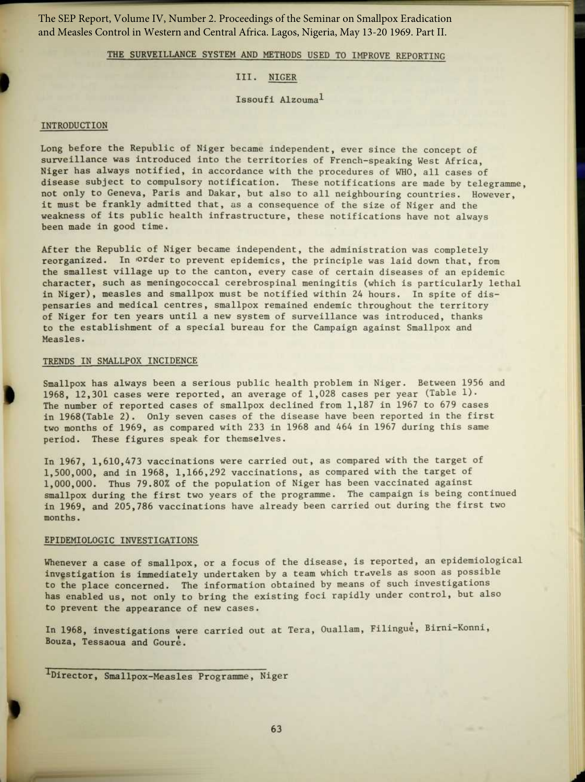The SEP Report, Volume IV, Number 2. Proceedings of the Seminar on Smallpox Eradication and Measles Control in Western and Central Africa. Lagos, Nigeria, May 13-20 1969. Part II.

THE SURVEILLANCE SYSTEM AND METHODS USED TO IMPROVE REPORTING

## III. NIGER

Issoufi Alzouma l

# INTRODUCTION

Long before the Republic of Niger became independent, ever since the concept of surveillance was introduced into the territories of French-speaking West Africa, Niger has always notified, in accordance with the procedures of WHO, all cases of disease subject to compulsory notification. These notifications are made by telegramme, not only to Geneva, Paris and Dakar, but also to all neighbouring countries. However, it must be frankly admitted that, as a consequence of the size of Niger and the weakness of its public health infrastructure, these notifications have not always been made in good time.

After the Republic of Niger became independent, the administration was completely reorganized. In order to prevent epidemics, the principle was laid down that, from the smallest village up to the canton, every case of certain diseases of an epidemic character, such as meningococcal cerebrospinal meningitis (which is particularly lethal in Niger), measles and smallpox must be notified within 24 hours. In spite of dispensaries and medical centres, smallpox remained endemic throughout the territory of Niger for ten years until a new system of surveillance was introduced, thanks to the establishment of a special bureau for the Campaign against Smallpox and Measles.

#### TRENDS IN SMALLPOX INCIDENCE

Smallpox has always been a serious public health problem in Niger. Between 1956 and 1968, 12,301 cases were reported, an average of  $1,028$  cases per year (Table 1). The number of reported cases of smallpox declined from 1,187 in 1967 to 679 cases in 1968(Table 2) . Only seven cases of the disease have been reported in the first two months of 1969, as compared with 233 in 1968 and 464 in 1967 during this same period. These figures speak for themselves.

In 1967, 1,610,473 vaccinations were carried out, as compared with the target of 1,500,000, and in 1968, 1,166,292 vaccinations, as compared with the target of 1,000,000 . Thus 79 .80% of the population of Niger has been vaccinated against smallpox during the first two years of the programme. The campaign is being continued in 1969, and 205,786 vaccinations have already been carried out during the first two months.

#### EPIDEMIOLOGIC INVESTIGATIONS

Whenever a case of smallpox, or a focus of the disease, is reported, an epidemiological investigation is immediately undertaken by a team which travels as soon as possible to the place concerned. The information obtained by means of such investigations has enabled us, not only to bring the existing foci rapidly under control, but also to prevent the appearance of new cases.

In 1968, investigations were carried out at Tera, Ouallam, Filingue, Birni-Konni, Bouza, Tessaoua and Goure .

<sup>1</sup>Director, Smallpox-Measles Programme, Niger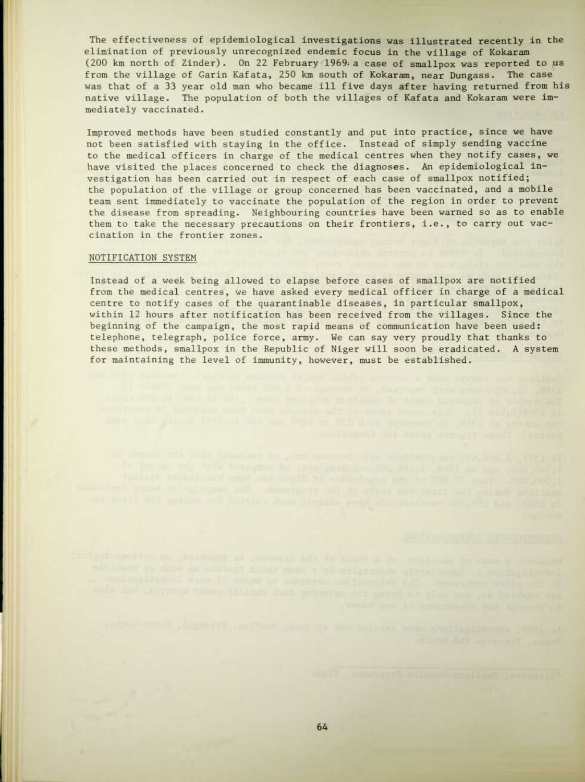The effectiveness of epidemiological investigations was illustrated recently in the elimination of previously unrecognized endemic focus in the village of Kokaram (200 km north of Zinder) . On 22 February 1969.a case of smallpox was reported to us from the village of Garin Kafata, 250 km south of Kokaram, near Dungass. The case was that of a 33 year old man who became ill five days after having returned from his native village. The population of both the villages of Kafata and Kokaram were immediately vaccinated.

Improved methods have been studied constantly and put into practice, since we have not been satisfied with staying in the office . Instead of simply sending vaccine to the medical officers in charge of the medical centres when they notify cases, we have visited the places concerned to check the diagnoses. An epidemiological investigation has been carried out in respect of each case of smallpox notified; the population of the village or group concerned has been vaccinated, and a mobile team sent immediately to vaccinate the population of the region in order to prevent the disease from spreading. Neighbouring countries have been warned so as to enable them to take the necessary precautions on their frontiers, i.e., to carry out vaccination in the frontier zones.

### NOTIFICATION SYSTEM

Instead of a week being allowed to elapse before cases of smallpox are notified from the medical centres, we have asked every medical officer in charge of a medical centre to notify cases of the quarantinable diseases, in particular smallpox, within 12 hours after notification has been received from the villages. Since the beginning of the campaign, the most rapid means of communication have been used: telephone, telegraph, police force, army. We can say very proudly that thanks to these methods, smallpox in the Republic of Niger will soon be eradicated. A system for maintaining the level of immunity, however, must be established.